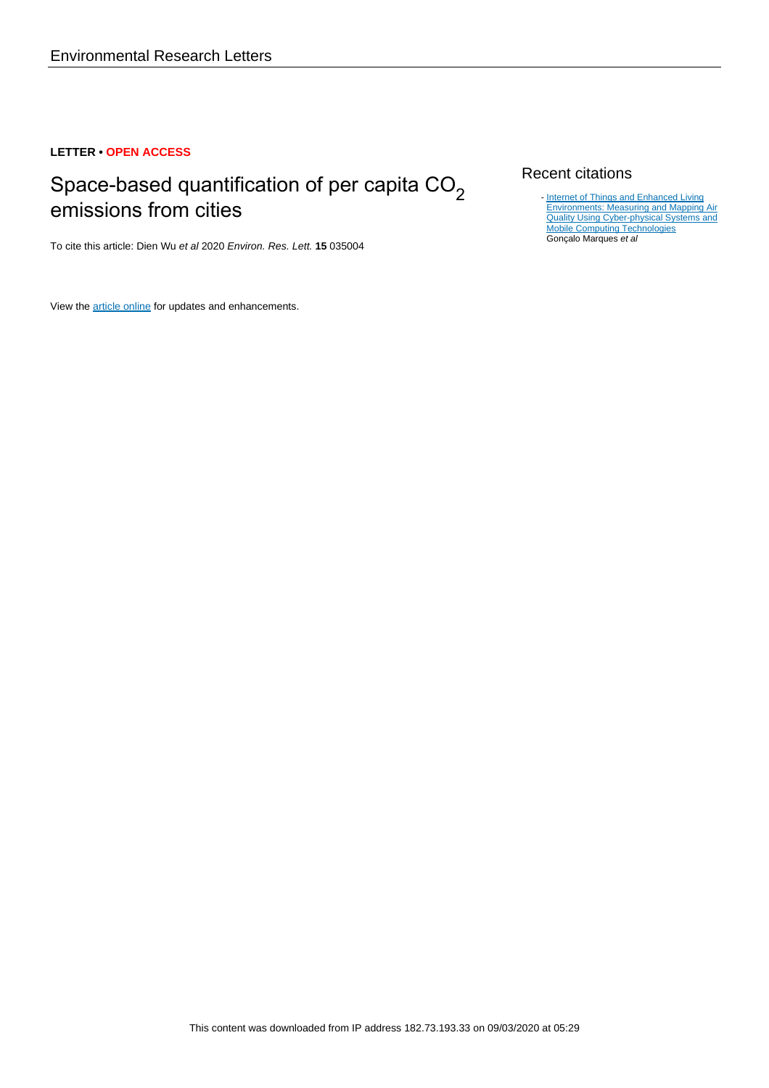# **LETTER • OPEN ACCESS**

# Space-based quantification of per capita  $CO<sub>2</sub>$ emissions from cities

To cite this article: Dien Wu et al 2020 Environ. Res. Lett. **15** 035004

View the [article online](https://doi.org/10.1088/1748-9326/ab68eb) for updates and enhancements.

# Recent citations

[Internet of Things and Enhanced Living](http://dx.doi.org/10.3390/s20030720) [Environments: Measuring and Mapping Air](http://dx.doi.org/10.3390/s20030720) [Quality Using Cyber-physical Systems and](http://dx.doi.org/10.3390/s20030720) [Mobile Computing Technologies](http://dx.doi.org/10.3390/s20030720) Gonçalo Marques et al -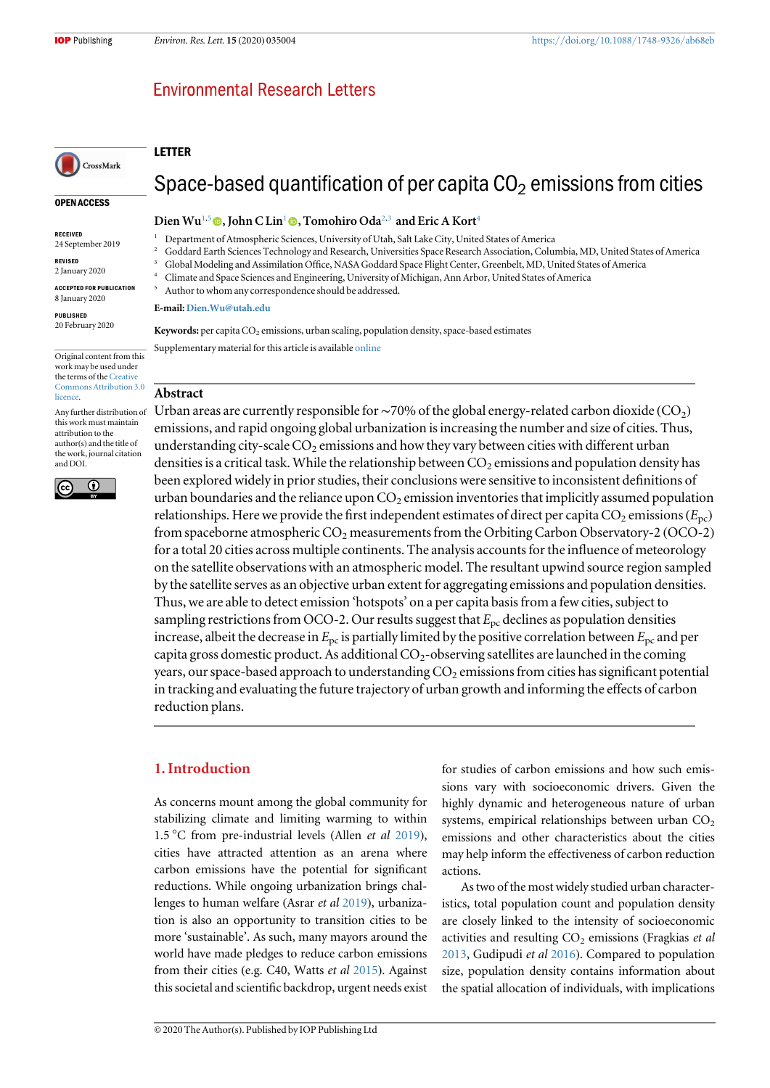OPEN ACCESS

CrossMark

Original content from this work may be used under the terms of the [Creative](http://creativecommons.org/licenses/by/3.0)

Any further distribution of this work must maintain attribution to the author(s) and the title of the work, journal citation

 $\overline{\odot}$ 

RECEIVED 24 September 2019 REVISED 2 January 2020 ACCEPTED FOR PUBLICATION 8 January 2020 PUBLISHED 20 February 2020

[licence.](http://creativecommons.org/licenses/by/3.0)

and DOI.

(cc

# **Environmental Research Letters**

#### LETTER

# Space-based quantification of per capita  $CO<sub>2</sub>$  emissions from cities

#### Dien Wu<sup>1,5</sup>  $\bullet$ , John C Lin<sup>1</sup>  $\bullet$ , Tomohiro Oda<sup>2,3</sup> and Eric A Kort<sup>4</sup>

- <sup>1</sup> Department of Atmospheric Sciences, University of Utah, Salt Lake City, United States of America
- <sup>2</sup> Goddard Earth Sciences Technology and Research, Universities Space Research Association, Columbia, MD, United States of America
- <sup>3</sup> Global Modeling and Assimilation Office, NASA Goddard Space Flight Center, Greenbelt, MD, United States of America
- <sup>4</sup> Climate and Space Sciences and Engineering, University of Michigan, Ann Arbor, United States of America
- Author to whom any correspondence should be addressed.

#### E-mail: [Dien.Wu@utah.edu](mailto:Dien.Wu@utah.edu)

Keywords: per capita  $CO_2$  emissions, urban scaling, population density, space-based estimates

Supplementary material for this article is available [online](https://doi.org/10.1088/1748-9326/ab68eb)

#### Abstract [Commons Attribution 3.0](http://creativecommons.org/licenses/by/3.0)

Urban areas are currently responsible for ~70% of the global energy-related carbon dioxide ( $CO<sub>2</sub>$ ) emissions, and rapid ongoing global urbanization is increasing the number and size of cities. Thus, understanding city-scale  $CO<sub>2</sub>$  emissions and how they vary between cities with different urban densities is a critical task. While the relationship between  $CO<sub>2</sub>$  emissions and population density has been explored widely in prior studies, their conclusions were sensitive to inconsistent definitions of urban boundaries and the reliance upon  $CO<sub>2</sub>$  emission inventories that implicitly assumed population relationships. Here we provide the first independent estimates of direct per capita  $CO_2$  emissions ( $E_{\text{pc}}$ ) from spaceborne atmospheric  $CO_2$  measurements from the Orbiting Carbon Observatory-2 (OCO-2) for a total 20 cities across multiple continents. The analysis accounts for the influence of meteorology on the satellite observations with an atmospheric model. The resultant upwind source region sampled by the satellite serves as an objective urban extent for aggregating emissions and population densities. Thus, we are able to detect emission 'hotspots' on a per capita basis from a few cities, subject to sampling restrictions from OCO-2. Our results suggest that  $E_{\text{pc}}$  declines as population densities increase, albeit the decrease in  $E_{\text{pc}}$  is partially limited by the positive correlation between  $E_{\text{pc}}$  and per capita gross domestic product. As additional  $CO<sub>2</sub>$ -observing satellites are launched in the coming years, our space-based approach to understanding  $CO<sub>2</sub>$  emissions from cities has significant potential in tracking and evaluating the future trajectory of urban growth and informing the effects of carbon reduction plans.

# 1. Introduction

As concerns mount among the global community for stabilizing climate and limiting warming to within 1.5 °C from pre-industrial levels (Allen et al [2019](#page-8-0)), cities have attracted attention as an arena where carbon emissions have the potential for significant reductions. While ongoing urbanization brings challenges to human welfare (Asrar et al [2019](#page-8-0)), urbanization is also an opportunity to transition cities to be more 'sustainable'. As such, many mayors around the world have made pledges to reduce carbon emissions from their cities (e.g. C40, Watts et al [2015](#page-9-0)). Against this societal and scientific backdrop, urgent needs exist for studies of carbon emissions and how such emissions vary with socioeconomic drivers. Given the highly dynamic and heterogeneous nature of urban systems, empirical relationships between urban  $CO<sub>2</sub>$ emissions and other characteristics about the cities may help inform the effectiveness of carbon reduction actions.

As two of the most widely studied urban characteristics, total population count and population density are closely linked to the intensity of socioeconomic activities and resulting  $CO<sub>2</sub>$  emissions (Fragkias et al [2013,](#page-8-0) Gudipudi et al [2016](#page-8-0)). Compared to population size, population density contains information about the spatial allocation of individuals, with implications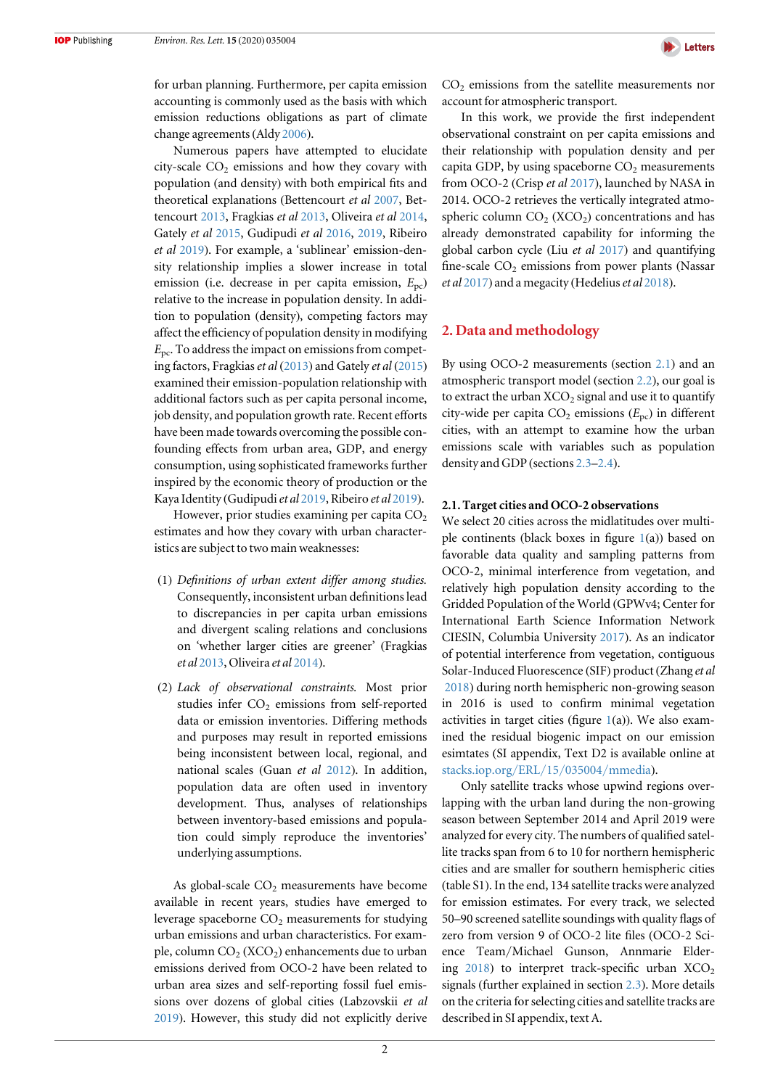

for urban planning. Furthermore, per capita emission accounting is commonly used as the basis with which emission reductions obligations as part of climate change agreements(Aldy [2006](#page-8-0)).

Numerous papers have attempted to elucidate city-scale  $CO<sub>2</sub>$  emissions and how they covary with population (and density) with both empirical fits and theoretical explanations (Bettencourt et al [2007](#page-8-0), Bettencourt [2013](#page-8-0), Fragkias et al [2013,](#page-8-0) Oliveira et al [2014,](#page-8-0) Gately et al [2015](#page-8-0), Gudipudi et al [2016](#page-8-0), [2019,](#page-8-0) Ribeiro et al [2019](#page-9-0)). For example, a 'sublinear' emission-density relationship implies a slower increase in total emission (i.e. decrease in per capita emission,  $E_{\text{pc}}$ ) relative to the increase in population density. In addition to population (density), competing factors may affect the efficiency of population density in modifying  $E_{\text{pc}}$ . To address the impact on emissions from competing factors, Fragkias et al ([2013](#page-8-0)) and Gately et al ([2015](#page-8-0)) examined their emission-population relationship with additional factors such as per capita personal income, job density, and population growth rate. Recent efforts have been made towards overcoming the possible confounding effects from urban area, GDP, and energy consumption, using sophisticated frameworks further inspired by the economic theory of production or the Kaya Identity (Gudipudi et al [2019,](#page-8-0) Ribeiro et al [2019](#page-9-0)).

However, prior studies examining per capita  $CO<sub>2</sub>$ estimates and how they covary with urban characteristics are subject to two main weaknesses:

- (1) Definitions of urban extent differ among studies. Consequently, inconsistent urban definitions lead to discrepancies in per capita urban emissions and divergent scaling relations and conclusions on 'whether larger cities are greener' (Fragkias et al [2013](#page-8-0), Oliveira et al [2014](#page-8-0)).
- (2) Lack of observational constraints. Most prior studies infer  $CO<sub>2</sub>$  emissions from self-reported data or emission inventories. Differing methods and purposes may result in reported emissions being inconsistent between local, regional, and national scales (Guan et al [2012](#page-8-0)). In addition, population data are often used in inventory development. Thus, analyses of relationships between inventory-based emissions and population could simply reproduce the inventories' underlying assumptions.

As global-scale  $CO<sub>2</sub>$  measurements have become available in recent years, studies have emerged to leverage spaceborne  $CO<sub>2</sub>$  measurements for studying urban emissions and urban characteristics. For example, column  $CO_2$  (XCO<sub>2</sub>) enhancements due to urban emissions derived from OCO-2 have been related to urban area sizes and self-reporting fossil fuel emissions over dozens of global cities (Labzovskii et al [2019](#page-8-0)). However, this study did not explicitly derive  $CO<sub>2</sub>$  emissions from the satellite measurements nor account for atmospheric transport.

In this work, we provide the first independent observational constraint on per capita emissions and their relationship with population density and per capita GDP, by using spaceborne  $CO<sub>2</sub>$  measurements from OCO-2 (Crisp et al [2017](#page-8-0)), launched by NASA in 2014. OCO-2 retrieves the vertically integrated atmospheric column  $CO<sub>2</sub>$  (XCO<sub>2</sub>) concentrations and has already demonstrated capability for informing the global carbon cycle (Liu et al [2017](#page-8-0)) and quantifying fine-scale  $CO<sub>2</sub>$  emissions from power plants (Nassar et al  $2017$ ) and a megacity (Hedelius et al  $2018$ ).

## 2. Data and methodology

By using OCO-2 measurements (section 2.1) and an atmospheric transport model (section [2.2](#page-3-0)), our goal is to extract the urban  $XCO<sub>2</sub>$  signal and use it to quantify city-wide per capita  $CO_2$  emissions ( $E_{pc}$ ) in different cities, with an attempt to examine how the urban emissions scale with variables such as population density and GDP (sections [2.3](#page-4-0)–[2.4](#page-4-0)).

#### 2.1. Target cities and OCO-2 observations

We select 20 cities across the midlatitudes over multiple continents (black boxes in figure  $1(a)$  $1(a)$ ) based on favorable data quality and sampling patterns from OCO-2, minimal interference from vegetation, and relatively high population density according to the Gridded Population of the World (GPWv4; Center for International Earth Science Information Network CIESIN, Columbia University [2017](#page-8-0)). As an indicator of potential interference from vegetation, contiguous Solar-Induced Fluorescence (SIF) product (Zhang et al [2018](#page-9-0)) during north hemispheric non-growing season in 2016 is used to confirm minimal vegetation activities in target cities (figure  $1(a)$  $1(a)$ ). We also examined the residual biogenic impact on our emission esimtates (SI appendix, Text D2 is available online at [stacks.iop.org](http://stacks.iop.org/ERL/15/035004/mmedia)/ERL/15/035004/mmedia).

Only satellite tracks whose upwind regions overlapping with the urban land during the non-growing season between September 2014 and April 2019 were analyzed for every city. The numbers of qualified satellite tracks span from 6 to 10 for northern hemispheric cities and are smaller for southern hemispheric cities (table S1). In the end, 134 satellite tracks were analyzed for emission estimates. For every track, we selected 50–90 screened satellite soundings with quality flags of zero from version 9 of OCO-2 lite files (OCO-2 Science Team/Michael Gunson, Annmarie Eldering  $2018$ ) to interpret track-specific urban  $XCO<sub>2</sub>$ signals (further explained in section [2.3](#page-4-0)). More details on the criteria for selecting cities and satellite tracks are described in SI appendix, text A.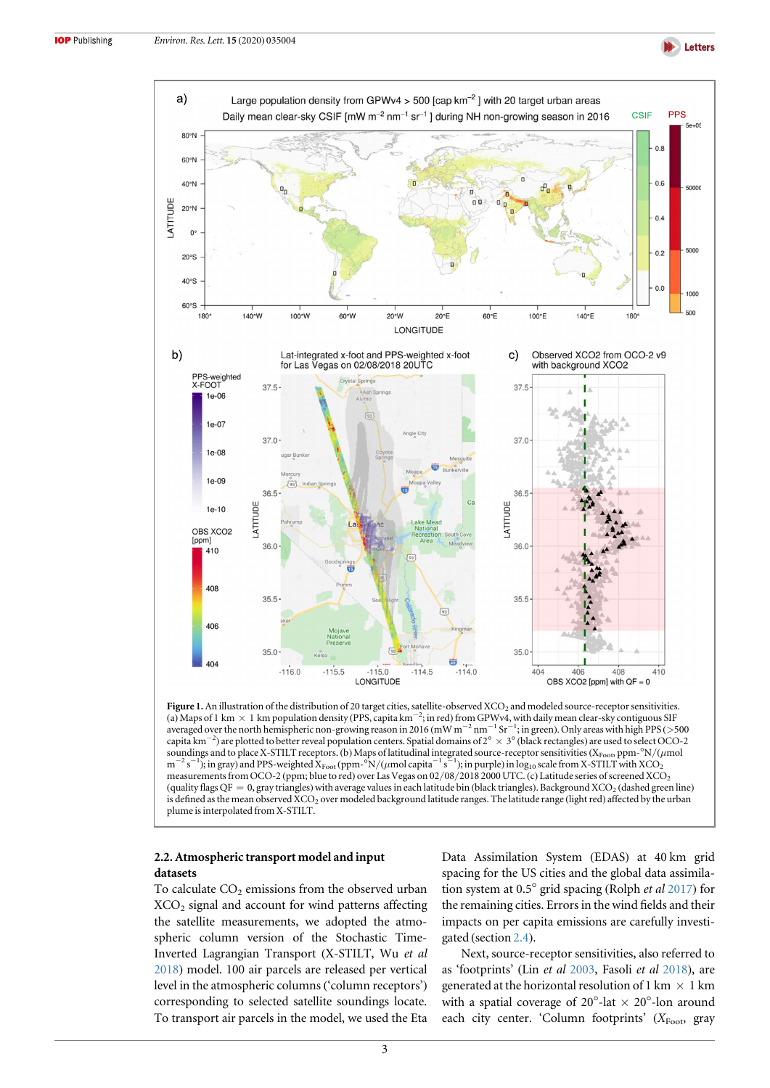

<span id="page-3-0"></span>

Figure 1. An illustration of the distribution of 20 target cities, satellite-observed XCO<sub>2</sub> and modeled source-receptor sensitivities. (a) Maps of 1 km × 1 km population density (PPS, capita km<sup>-2</sup>; in red) from GPWv4, with daily mean clear-sky contiguous SIF averaged over the north hemispheric non-growing reason in 2016 (mW m<sup>−2</sup> nm<sup>−1</sup> Sr<sup>−1</sup>; in green). Only areas with high PPS (>500 capita km−<sup>2</sup> ) are plotted to better reveal population centers. Spatial domains of 2° × 3°(black rectangles) are used to select OCO-2 soundings and to place X-STILT receptors. (b) Maps of latitudinal integrated source-receptor sensitivities (XFoot, ppm-°N/( $\mu$ mol  $m^{-2} s^{-1}$ ); in gray) and PPS-weighted  $X_{\text{foot}}(ppm-sN/(\mu m o l \, \text{capita}^{-1} s^{-1})$ ; in purple) in  $\log_{10}$  scale from X-STILT with XCO<sub>2</sub> measurements from OCO-2 (ppm; blue to red) over Las Vegas on 02/08/2018 2000 UTC. (c) Latitude series of screened XCO2 (quality flags  $OF = 0$ , gray triangles) with average values in each latitude bin (black triangles). Background XCO<sub>2</sub> (dashed green line) is defined as the mean observed XCO<sub>2</sub> over modeled background latitude ranges. The latitude range (light red) affected by the urban plume is interpolated from X-STILT.

### 2.2. Atmospheric transport model and input datasets

To calculate  $CO<sub>2</sub>$  emissions from the observed urban  $XCO<sub>2</sub>$  signal and account for wind patterns affecting the satellite measurements, we adopted the atmospheric column version of the Stochastic Time-Inverted Lagrangian Transport (X-STILT, Wu et al [2018](#page-9-0)) model. 100 air parcels are released per vertical level in the atmospheric columns ('column receptors') corresponding to selected satellite soundings locate. To transport air parcels in the model, we used the Eta Data Assimilation System (EDAS) at 40 km grid spacing for the US cities and the global data assimilation system at 0.5° grid spacing (Rolph et al [2017](#page-9-0)) for the remaining cities. Errors in the wind fields and their impacts on per capita emissions are carefully investigated (section [2.4](#page-4-0)).

Next, source-receptor sensitivities, also referred to as 'footprints' (Lin et al [2003,](#page-8-0) Fasoli et al [2018](#page-8-0)), are generated at the horizontal resolution of 1 km  $\times$  1 km with a spatial coverage of  $20^{\circ}$ -lat  $\times 20^{\circ}$ -lon around each city center. 'Column footprints'  $(X_{\text{foot}})$  gray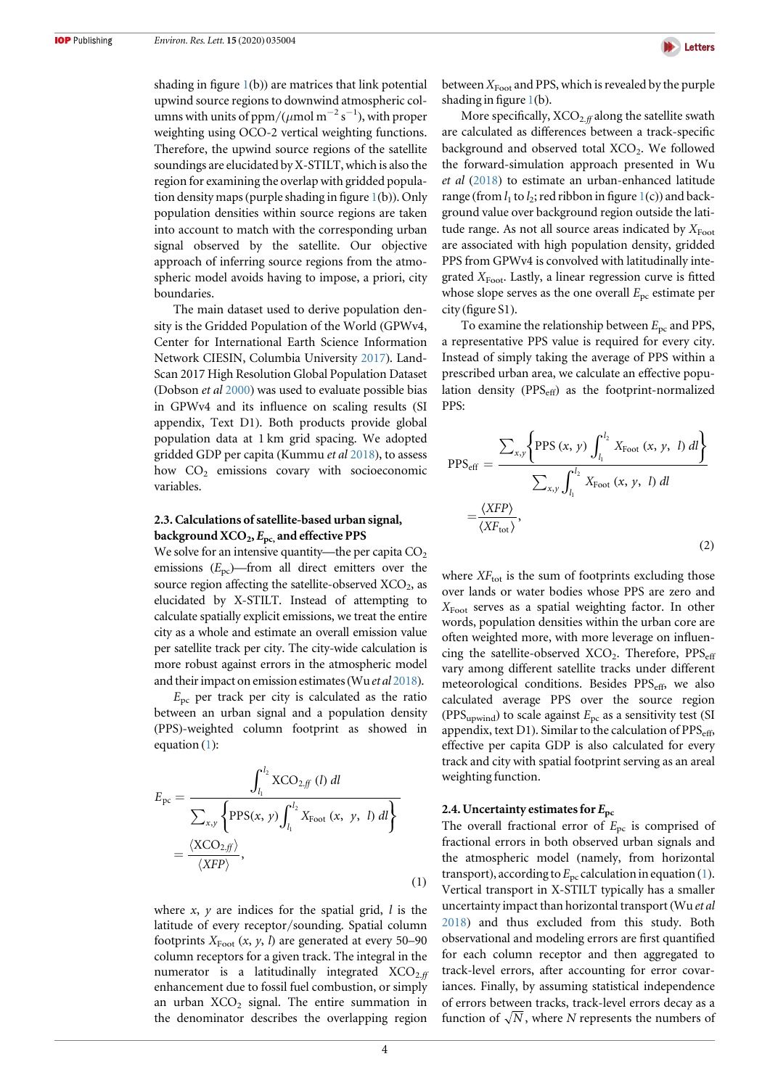<span id="page-4-0"></span>shading in figure  $1(b)$  $1(b)$ ) are matrices that link potential upwind source regions to downwind atmospheric columns with units of ppm/( $\mu$ mol m<sup>-2</sup> s<sup>-1</sup>), with proper weighting using OCO-2 vertical weighting functions. Therefore, the upwind source regions of the satellite soundings are elucidated by X-STILT, which is also the region for examining the overlap with gridded population density maps (purple shading in figure  $1(b)$  $1(b)$ ). Only population densities within source regions are taken into account to match with the corresponding urban signal observed by the satellite. Our objective approach of inferring source regions from the atmospheric model avoids having to impose, a priori, city boundaries.

The main dataset used to derive population density is the Gridded Population of the World (GPWv4, Center for International Earth Science Information Network CIESIN, Columbia University [2017](#page-8-0)). Land-Scan 2017 High Resolution Global Population Dataset (Dobson et al [2000](#page-8-0)) was used to evaluate possible bias in GPWv4 and its influence on scaling results (SI appendix, Text D1). Both products provide global population data at 1 km grid spacing. We adopted gridded GDP per capita (Kummu et al [2018](#page-8-0)), to assess how  $CO<sub>2</sub>$  emissions covary with socioeconomic variables.

# 2.3. Calculations of satellite-based urban signal, background  $XCO_2$ ,  $E_{pc}$ , and effective PPS

We solve for an intensive quantity—the per capita  $CO<sub>2</sub>$ emissions  $(E_{\text{pc}})$ —from all direct emitters over the source region affecting the satellite-observed  $XCO<sub>2</sub>$ , as elucidated by X-STILT. Instead of attempting to calculate spatially explicit emissions, we treat the entire city as a whole and estimate an overall emission value per satellite track per city. The city-wide calculation is more robust against errors in the atmospheric model and their impact on emission estimates (Wu *et al* [2018](#page-9-0)).

 $E_{\text{pc}}$  per track per city is calculated as the ratio between an urban signal and a population density (PPS)-weighted column footprint as showed in equation (1):

$$
E_{\rm pc} = \frac{\int_{l_1}^{l_2} XCO_{2,ff} (l) dl}{\sum_{x,y} \left\{ PPS(x, y) \int_{l_1}^{l_2} X_{\rm Foot} (x, y, l) dl \right\}} = \frac{\langle XCO_{2,ff} \rangle}{\langle XFP \rangle}, \tag{1}
$$

where  $x$ ,  $y$  are indices for the spatial grid,  $l$  is the latitude of every receptor/sounding. Spatial column footprints  $X_{\text{foot}}(x, y, l)$  are generated at every 50–90 column receptors for a given track. The integral in the numerator is a latitudinally integrated  $XCO<sub>2 ff</sub>$ enhancement due to fossil fuel combustion, or simply an urban  $XCO<sub>2</sub>$  signal. The entire summation in the denominator describes the overlapping region



between  $X_{\text{Foot}}$  and PPS, which is revealed by the purple shading in figure  $1(b)$  $1(b)$ .

More specifically,  $XCO_{2,ff}$  along the satellite swath are calculated as differences between a track-specific background and observed total XCO<sub>2</sub>. We followed the forward-simulation approach presented in Wu et al ([2018](#page-9-0)) to estimate an urban-enhanced latitude range (from  $l_1$  $l_1$  to  $l_2$ ; red ribbon in figure  $1(c)$ ) and background value over background region outside the latitude range. As not all source areas indicated by  $X_{\text{Foot}}$ are associated with high population density, gridded PPS from GPWv4 is convolved with latitudinally integrated  $X_{\text{foot}}$ . Lastly, a linear regression curve is fitted whose slope serves as the one overall  $E_{\text{pc}}$  estimate per city (figure S1).

To examine the relationship between  $E_{\text{pc}}$  and PPS, a representative PPS value is required for every city. Instead of simply taking the average of PPS within a prescribed urban area, we calculate an effective population density ( $PPS_{\text{eff}}$ ) as the footprint-normalized PPS:

$$
PPS_{\text{eff}} = \frac{\sum_{x,y} \left\{ PPS(x, y) \int_{l_1}^{l_2} X_{\text{Root}}(x, y, l) dl \right\}}{\sum_{x,y} \int_{l_1}^{l_2} X_{\text{foot}}(x, y, l) dl}
$$

$$
= \frac{\langle XFP \rangle}{\langle XF_{\text{tot}} \rangle},
$$
(2)

where  $XF_{\text{tot}}$  is the sum of footprints excluding those over lands or water bodies whose PPS are zero and  $X_{\text{foot}}$  serves as a spatial weighting factor. In other words, population densities within the urban core are often weighted more, with more leverage on influencing the satellite-observed  $XCO<sub>2</sub>$ . Therefore,  $PPS<sub>eff</sub>$ vary among different satellite tracks under different meteorological conditions. Besides PPS<sub>eff</sub>, we also calculated average PPS over the source region (PPS<sub>upwind</sub>) to scale against  $E_{\text{pc}}$  as a sensitivity test (SI appendix, text D1). Similar to the calculation of  $PPS<sub>eff</sub>$ , effective per capita GDP is also calculated for every track and city with spatial footprint serving as an areal weighting function.

#### 2.4. Uncertainty estimates for  $E_{\rm pc}$

The overall fractional error of  $E_{\text{pc}}$  is comprised of fractional errors in both observed urban signals and the atmospheric model (namely, from horizontal transport), according to  $E_{\text{pc}}$  calculation in equation (1). Vertical transport in X-STILT typically has a smaller uncertainty impact than horizontal transport (Wu et al [2018](#page-9-0)) and thus excluded from this study. Both observational and modeling errors are first quantified for each column receptor and then aggregated to track-level errors, after accounting for error covariances. Finally, by assuming statistical independence of errors between tracks, track-level errors decay as a function of  $\sqrt{N}$ , where N represents the numbers of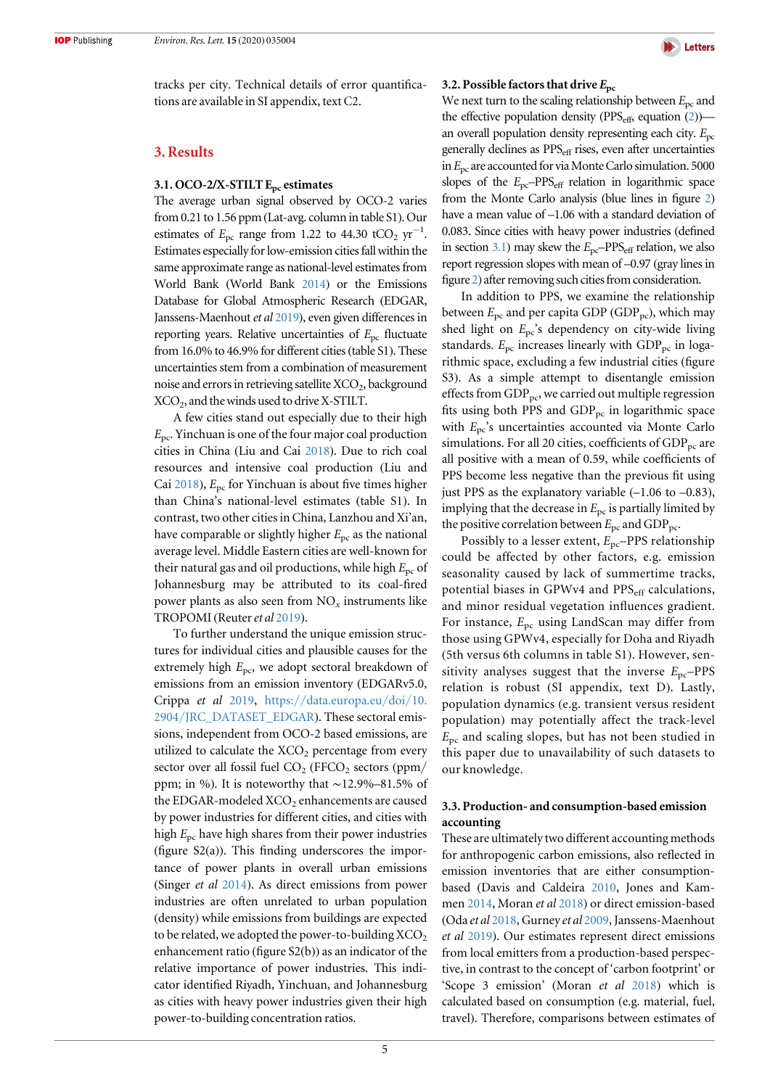tracks per city. Technical details of error quantifications are available in SI appendix, text C2.

#### 3. Results

#### 3.1. OCO-2/X-STILT E<sub>pc</sub> estimates

The average urban signal observed by OCO-2 varies from 0.21 to 1.56 ppm (Lat-avg. column in table S1). Our estimates of  $E_{\text{pc}}$  range from 1.22 to 44.30 tCO<sub>2</sub> yr<sup>-1</sup>. Estimates especially for low-emission cities fall within the same approximate range as national-level estimates from World Bank (World Bank [2014](#page-9-0)) or the Emissions Database for Global Atmospheric Research (EDGAR, Janssens-Maenhout et al [2019](#page-8-0)), even given differences in reporting years. Relative uncertainties of  $E_{\text{pc}}$  fluctuate from 16.0% to 46.9% for different cities(table S1). These uncertainties stem from a combination of measurement noise and errors in retrieving satellite  $XCO<sub>2</sub>$ , background  $XCO<sub>2</sub>$ , and the winds used to drive X-STILT.

A few cities stand out especially due to their high  $E_{\text{pc}}$ . Yinchuan is one of the four major coal production cities in China (Liu and Cai [2018](#page-8-0)). Due to rich coal resources and intensive coal production (Liu and Cai [2018](#page-8-0)),  $E_{\text{pc}}$  for Yinchuan is about five times higher than China's national-level estimates (table S1). In contrast, two other cities in China, Lanzhou and Xi'an, have comparable or slightly higher  $E_{\text{pc}}$  as the national average level. Middle Eastern cities are well-known for their natural gas and oil productions, while high  $E_{\text{pc}}$  of Johannesburg may be attributed to its coal-fired power plants as also seen from  $NO<sub>x</sub>$  instruments like TROPOMI (Reuter et al [2019](#page-9-0)).

To further understand the unique emission structures for individual cities and plausible causes for the extremely high  $E_{\text{pc}}$ , we adopt sectoral breakdown of emissions from an emission inventory (EDGARv5.0, Crippa et al [2019,](#page-8-0) https://[data.europa.eu](https://data.europa.eu/doi/10.2904/JRC_DATASET_EDGAR)/doi/10. 2904/[JRC\\_DATASET\\_EDGAR](https://data.europa.eu/doi/10.2904/JRC_DATASET_EDGAR)). These sectoral emissions, independent from OCO-2 based emissions, are utilized to calculate the  $XCO<sub>2</sub>$  percentage from every sector over all fossil fuel  $CO<sub>2</sub>$  (FFCO<sub>2</sub> sectors (ppm/ ppm; in %). It is noteworthy that ∼12.9%–81.5% of the EDGAR-modeled XCO<sub>2</sub> enhancements are caused by power industries for different cities, and cities with high  $E_{\text{pc}}$  have high shares from their power industries (figure S2(a)). This finding underscores the importance of power plants in overall urban emissions (Singer et al [2014](#page-9-0)). As direct emissions from power industries are often unrelated to urban population (density) while emissions from buildings are expected to be related, we adopted the power-to-building  $XCO<sub>2</sub>$ enhancement ratio (figure S2(b)) as an indicator of the relative importance of power industries. This indicator identified Riyadh, Yinchuan, and Johannesburg as cities with heavy power industries given their high power-to-building concentration ratios.



#### 3.2. Possible factors that drive  $E_{\rm pc}$

We next turn to the scaling relationship between  $E_{\text{pc}}$  and the effective population density (PPS $_{\text{eff}}$ , equation ([2](#page-4-0))) an overall population density representing each city.  $E_{\text{pc}}$ generally declines as PPS<sub>eff</sub> rises, even after uncertainties in  $E_{\text{pc}}$  are accounted for via Monte Carlo simulation. 5000 slopes of the  $E_{\text{pc}}$ -PPS<sub>eff</sub> relation in logarithmic space from the Monte Carlo analysis (blue lines in figure [2](#page-6-0)) have a mean value of –1.06 with a standard deviation of 0.083. Since cities with heavy power industries (defined in section 3.1) may skew the  $E_{\text{pc}}$ -PPS<sub>eff</sub> relation, we also report regression slopes with mean of –0.97 (gray lines in figure [2](#page-6-0)) after removing such cities from consideration.

In addition to PPS, we examine the relationship between  $E_{\text{pc}}$  and per capita GDP (GDP<sub>pc</sub>), which may shed light on  $E_{\text{pc}}$ 's dependency on city-wide living standards.  $E_{\text{pc}}$  increases linearly with GDP<sub>pc</sub> in logarithmic space, excluding a few industrial cities (figure S3). As a simple attempt to disentangle emission effects from  $GDP_{\text{pc}}$ , we carried out multiple regression fits using both PPS and  $GDP_{pc}$  in logarithmic space with  $E_{\text{pc}}$ 's uncertainties accounted via Monte Carlo simulations. For all 20 cities, coefficients of  $GDP_{pc}$  are all positive with a mean of 0.59, while coefficients of PPS become less negative than the previous fit using just PPS as the explanatory variable  $(-1.06 \text{ to } -0.83)$ , implying that the decrease in  $E_{\text{pc}}$  is partially limited by the positive correlation between  $E_{\text{pc}}$  and GDP<sub>pc</sub>.

Possibly to a lesser extent,  $E_{pc}$ -PPS relationship could be affected by other factors, e.g. emission seasonality caused by lack of summertime tracks, potential biases in GPWv4 and PPS<sub>eff</sub> calculations, and minor residual vegetation influences gradient. For instance,  $E_{\text{pc}}$  using LandScan may differ from those using GPWv4, especially for Doha and Riyadh (5th versus 6th columns in table S1). However, sensitivity analyses suggest that the inverse  $E_{\text{pc}}$ -PPS relation is robust (SI appendix, text D). Lastly, population dynamics (e.g. transient versus resident population) may potentially affect the track-level  $E_{\text{pc}}$  and scaling slopes, but has not been studied in this paper due to unavailability of such datasets to our knowledge.

#### 3.3. Production- and consumption-based emission accounting

These are ultimately two different accounting methods for anthropogenic carbon emissions, also reflected in emission inventories that are either consumptionbased (Davis and Caldeira [2010](#page-8-0), Jones and Kammen [2014,](#page-8-0) Moran et al [2018](#page-8-0)) or direct emission-based (Oda et al [2018](#page-8-0), Gurney et al [2009,](#page-8-0) Janssens-Maenhout et al [2019](#page-8-0)). Our estimates represent direct emissions from local emitters from a production-based perspective, in contrast to the concept of 'carbon footprint' or 'Scope 3 emission' (Moran et al [2018](#page-8-0)) which is calculated based on consumption (e.g. material, fuel, travel). Therefore, comparisons between estimates of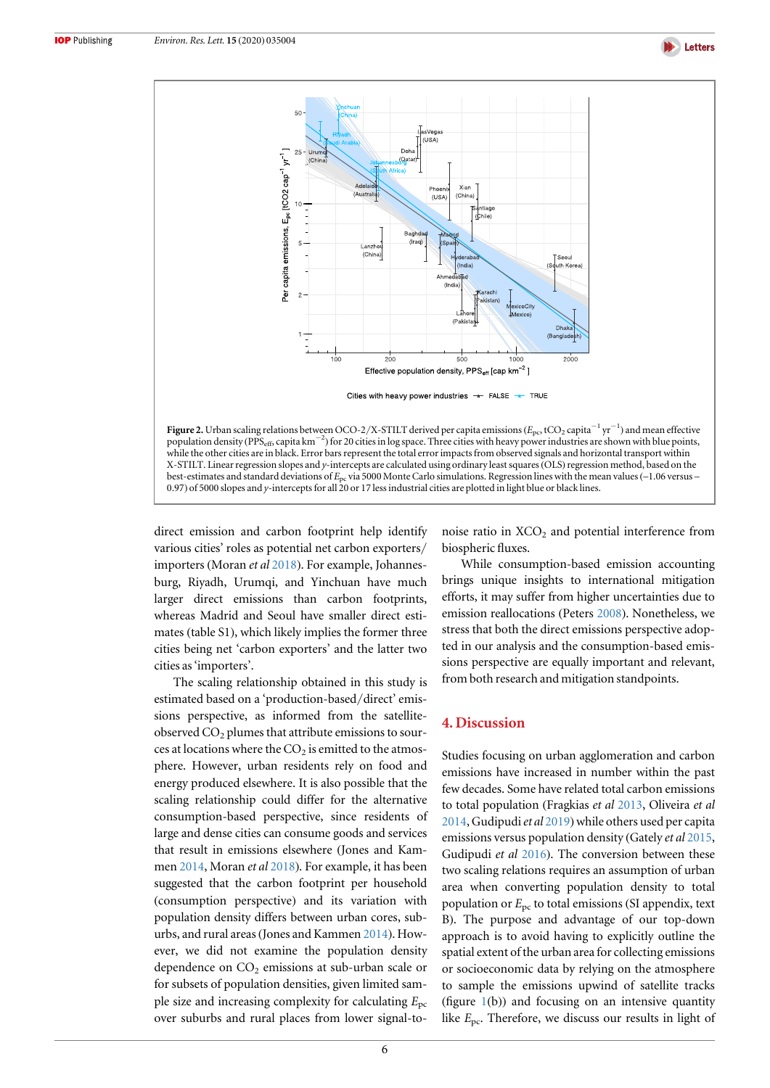

<span id="page-6-0"></span>

0.97) of 5000 slopes and y-intercepts for all 20 or 17 less industrial cities are plotted in light blue or black lines.

direct emission and carbon footprint help identify various cities' roles as potential net carbon exporters/ importers (Moran et al [2018](#page-8-0)). For example, Johannesburg, Riyadh, Urumqi, and Yinchuan have much larger direct emissions than carbon footprints, whereas Madrid and Seoul have smaller direct estimates (table S1), which likely implies the former three cities being net 'carbon exporters' and the latter two cities as'importers'.

The scaling relationship obtained in this study is estimated based on a 'production-based/direct' emissions perspective, as informed from the satelliteobserved  $CO<sub>2</sub>$  plumes that attribute emissions to sources at locations where the  $CO<sub>2</sub>$  is emitted to the atmosphere. However, urban residents rely on food and energy produced elsewhere. It is also possible that the scaling relationship could differ for the alternative consumption-based perspective, since residents of large and dense cities can consume goods and services that result in emissions elsewhere (Jones and Kammen [2014,](#page-8-0) Moran et al [2018](#page-8-0)). For example, it has been suggested that the carbon footprint per household (consumption perspective) and its variation with population density differs between urban cores, suburbs, and rural areas(Jones and Kammen [2014](#page-8-0)). However, we did not examine the population density dependence on  $CO<sub>2</sub>$  emissions at sub-urban scale or for subsets of population densities, given limited sample size and increasing complexity for calculating  $E_{\text{pc}}$ over suburbs and rural places from lower signal-tonoise ratio in  $XCO<sub>2</sub>$  and potential interference from biospheric fluxes.

While consumption-based emission accounting brings unique insights to international mitigation efforts, it may suffer from higher uncertainties due to emission reallocations (Peters [2008](#page-9-0)). Nonetheless, we stress that both the direct emissions perspective adopted in our analysis and the consumption-based emissions perspective are equally important and relevant, from both research and mitigation standpoints.

## 4. Discussion

Studies focusing on urban agglomeration and carbon emissions have increased in number within the past few decades. Some have related total carbon emissions to total population (Fragkias et al [2013,](#page-8-0) Oliveira et al [2014,](#page-8-0) Gudipudi et al  $2019$ ) while others used per capita emissions versus population density (Gately et al [2015](#page-8-0), Gudipudi et al [2016](#page-8-0)). The conversion between these two scaling relations requires an assumption of urban area when converting population density to total population or  $E_{\text{pc}}$  to total emissions (SI appendix, text B). The purpose and advantage of our top-down approach is to avoid having to explicitly outline the spatial extent of the urban area for collecting emissions or socioeconomic data by relying on the atmosphere to sample the emissions upwind of satellite tracks (figure  $1(b)$  $1(b)$ ) and focusing on an intensive quantity like  $E_{\text{pc}}$ . Therefore, we discuss our results in light of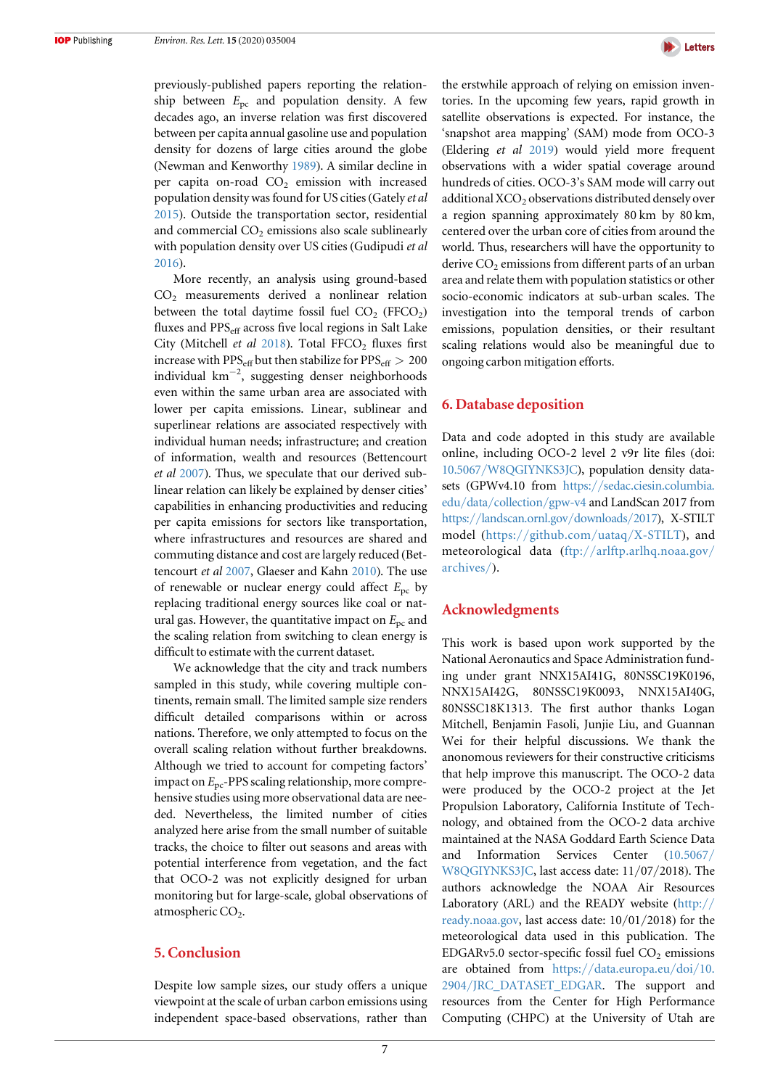previously-published papers reporting the relationship between  $E_{\text{pc}}$  and population density. A few decades ago, an inverse relation was first discovered between per capita annual gasoline use and population density for dozens of large cities around the globe (Newman and Kenworthy [1989](#page-8-0)). A similar decline in per capita on-road  $CO<sub>2</sub>$  emission with increased population density was found for US cities(Gately et al [2015](#page-8-0)). Outside the transportation sector, residential and commercial  $CO<sub>2</sub>$  emissions also scale sublinearly with population density over US cities (Gudipudi et al [2016](#page-8-0)).

More recently, an analysis using ground-based CO2 measurements derived a nonlinear relation between the total daytime fossil fuel  $CO<sub>2</sub>$  (FFCO<sub>2</sub>) fluxes and  $PPS<sub>eff</sub>$  across five local regions in Salt Lake City (Mitchell et al  $2018$ ). Total FFCO<sub>2</sub> fluxes first increase with PPS<sub>eff</sub> but then stabilize for  $PPS_{\text{eff}} > 200$ individual km−<sup>2</sup> , suggesting denser neighborhoods even within the same urban area are associated with lower per capita emissions. Linear, sublinear and superlinear relations are associated respectively with individual human needs; infrastructure; and creation of information, wealth and resources (Bettencourt et al [2007](#page-8-0)). Thus, we speculate that our derived sublinear relation can likely be explained by denser cities' capabilities in enhancing productivities and reducing per capita emissions for sectors like transportation, where infrastructures and resources are shared and commuting distance and cost are largely reduced (Bettencourt et al [2007,](#page-8-0) Glaeser and Kahn [2010](#page-8-0)). The use of renewable or nuclear energy could affect  $E_{\text{pc}}$  by replacing traditional energy sources like coal or natural gas. However, the quantitative impact on  $E_{\text{pc}}$  and the scaling relation from switching to clean energy is difficult to estimate with the current dataset.

We acknowledge that the city and track numbers sampled in this study, while covering multiple continents, remain small. The limited sample size renders difficult detailed comparisons within or across nations. Therefore, we only attempted to focus on the overall scaling relation without further breakdowns. Although we tried to account for competing factors' impact on  $E_{\text{pc}}$ -PPS scaling relationship, more comprehensive studies using more observational data are needed. Nevertheless, the limited number of cities analyzed here arise from the small number of suitable tracks, the choice to filter out seasons and areas with potential interference from vegetation, and the fact that OCO-2 was not explicitly designed for urban monitoring but for large-scale, global observations of atmospheric CO<sub>2</sub>.

## 5. Conclusion

Despite low sample sizes, our study offers a unique viewpoint at the scale of urban carbon emissions using independent space-based observations, rather than



the erstwhile approach of relying on emission inventories. In the upcoming few years, rapid growth in satellite observations is expected. For instance, the 'snapshot area mapping' (SAM) mode from OCO-3 (Eldering et al [2019](#page-8-0)) would yield more frequent observations with a wider spatial coverage around hundreds of cities. OCO-3's SAM mode will carry out additional XCO<sub>2</sub> observations distributed densely over a region spanning approximately 80 km by 80 km, centered over the urban core of cities from around the world. Thus, researchers will have the opportunity to derive  $CO<sub>2</sub>$  emissions from different parts of an urban area and relate them with population statistics or other socio-economic indicators at sub-urban scales. The investigation into the temporal trends of carbon emissions, population densities, or their resultant scaling relations would also be meaningful due to ongoing carbon mitigation efforts.

# 6. Database deposition

Data and code adopted in this study are available online, including OCO-2 level 2 v9r lite files (doi: 10.5067/[W8QGIYNKS3JC](https://doi.org/10.5067/W8QGIYNKS3JC)), population density datasets (GPWv4.10 from [https:](https://sedac.ciesin.columbia.edu/data/collection/gpw-v4)//[sedac.ciesin.columbia.](https://sedac.ciesin.columbia.edu/data/collection/gpw-v4) edu/data/[collection](https://sedac.ciesin.columbia.edu/data/collection/gpw-v4)/gpw-v4 and LandScan 2017 from https://[landscan.ornl.gov](https://landscan.ornl.gov/downloads/2017)/downloads/2017), X-STILT model (https://[github.com](https://github.com/uataq/X-STILT)/uataq/X-STILT), and meteorological data (ftp://[arlftp.arlhq.noaa.gov](ftp://arlftp.arlhq.noaa.gov/archives/)/ [archives](ftp://arlftp.arlhq.noaa.gov/archives/)/).

#### Acknowledgments

This work is based upon work supported by the National Aeronautics and Space Administration funding under grant NNX15AI41G, 80NSSC19K0196, NNX15AI42G, 80NSSC19K0093, NNX15AI40G, 80NSSC18K1313. The first author thanks Logan Mitchell, Benjamin Fasoli, Junjie Liu, and Guannan Wei for their helpful discussions. We thank the anonomous reviewers for their constructive criticisms that help improve this manuscript. The OCO-2 data were produced by the OCO-2 project at the Jet Propulsion Laboratory, California Institute of Technology, and obtained from the OCO-2 data archive maintained at the NASA Goddard Earth Science Data and Information Services Center ([10.5067](https://doi.org/10.5067/W8QGIYNKS3JC)/ [W8QGIYNKS3JC](https://doi.org/10.5067/W8QGIYNKS3JC), last access date: 11/07/2018). The authors acknowledge the NOAA Air Resources Laboratory (ARL) and the READY website ([http:](http://www.ready.noaa.gov)// [ready.noaa.gov](http://www.ready.noaa.gov), last access date: 10/01/2018) for the meteorological data used in this publication. The EDGARv5.0 sector-specific fossil fuel  $CO<sub>2</sub>$  emissions are obtained from https://[data.europa.eu](https://data.europa.eu/doi/10.2904/JRC_DATASET_EDGAR)/doi/10. 2904/[JRC\\_DATASET\\_EDGAR.](https://data.europa.eu/doi/10.2904/JRC_DATASET_EDGAR) The support and resources from the Center for High Performance Computing (CHPC) at the University of Utah are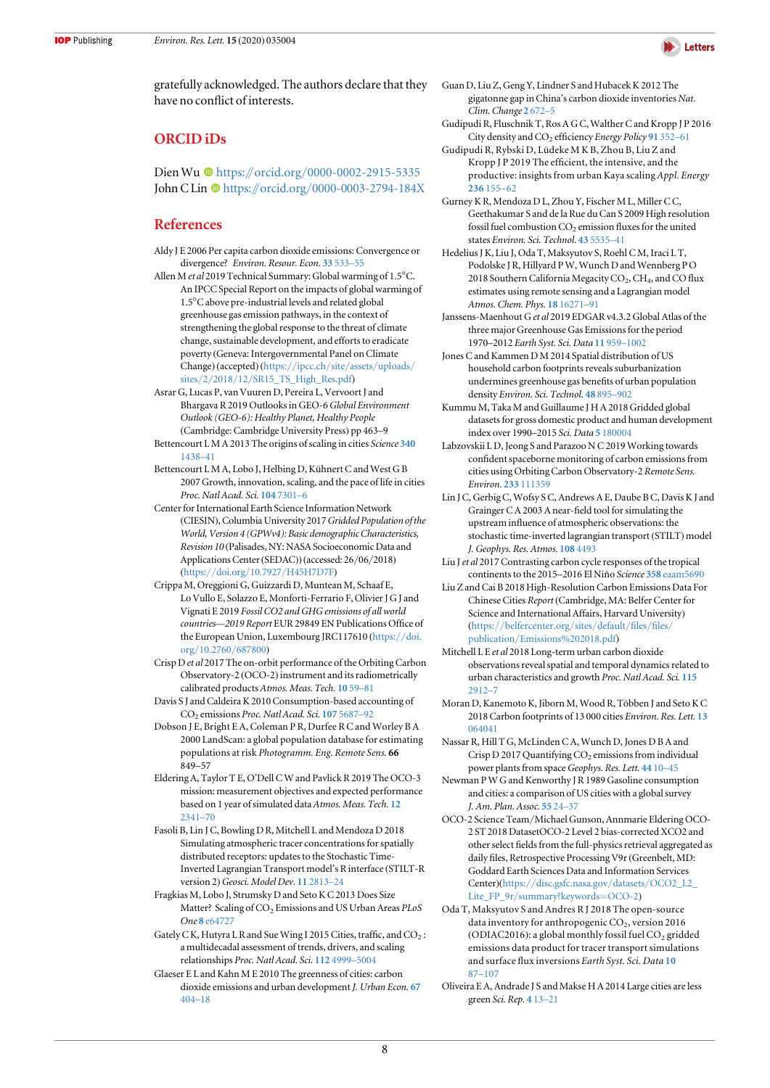

<span id="page-8-0"></span>gratefully acknowledged. The authors declare that they have no conflict of interests.

# ORCID iDs

Dien Wu <sup>th</sup> [https:](https://orcid.org/0000-0002-2915-5335)//orcid.org/[0000-0002-2915-5335](https://orcid.org/0000-0002-2915-5335) Joh[n](https://orcid.org/0000-0003-2794-184X) C Lin C[https:](https://orcid.org/0000-0003-2794-184X)//orcid.org/[0000-0003-2794-184X](https://orcid.org/0000-0003-2794-184X)

# References

- Aldy J E 2006 Per capita carbon dioxide emissions: Convergence or divergence? Environ. Resour. Econ. 33 [533](https://doi.org/10.1007/s10640-005-6160-x)–55
- Allen M et al 2019 Technical Summary: Global warming of 1.5°C. An IPCC Special Report on the impacts of global warming of 1.5°C above pre-industrial levels and related global greenhouse gas emission pathways, in the context of strengthening the global response to the threat of climate change, sustainable development, and efforts to eradicate poverty (Geneva: Intergovernmental Panel on Climate Change) (accepted) ([https:](https://www.ipcc.ch/site/assets/uploads/sites/2/2018/12/SR15_TS_High_Res.pdf)//ipcc.ch/site/assets/[uploads](https://www.ipcc.ch/site/assets/uploads/sites/2/2018/12/SR15_TS_High_Res.pdf)/ sites/2/2018/12/[SR15\\_TS\\_High\\_Res.pdf](https://www.ipcc.ch/site/assets/uploads/sites/2/2018/12/SR15_TS_High_Res.pdf))
- Asrar G, Lucas P, van Vuuren D, Pereira L, Vervoort J and Bhargava R 2019 Outlooks in GEO-6Global Environment Outlook (GEO-6): Healthy Planet, Healthy People (Cambridge: Cambridge University Press) pp 463–9
- Bettencourt L M A 2013 The origins of scaling in cities Science [340](https://doi.org/10.1126/science.1235823) [1438](https://doi.org/10.1126/science.1235823)–41
- Bettencourt L M A, Lobo J, Helbing D, Kühnert C and West G B 2007 Growth, innovation, scaling, and the pace of life in cities Proc. Natl Acad. Sci. 104 [7301](https://doi.org/10.1073/pnas.0610172104)–6
- Center for International Earth Science Information Network (CIESIN), Columbia University 2017 Gridded Population of the World, Version 4 (GPWv4): Basic demographic Characteristics, Revision 10 (Palisades, NY: NASA Socioeconomic Data and Applications Center(SEDAC)) (accessed: 26/06/2018) (https://doi.org/10.7927/[H45H7D7F](https://doi.org/10.7927/H45H7D7F))
- Crippa M, Oreggioni G, Guizzardi D, Muntean M, Schaaf E, Lo Vullo E, Solazzo E, Monforti-Ferrario F, Olivier J G J and Vignati E 2019 Fossil CO2 and GHG emissions of all world countries—2019 Report EUR 29849 EN Publications Office of the European Union, Luxembourg JRC117610 ([https:](https://doi.org/10.2760/687800)//doi. org/[10.2760](https://doi.org/10.2760/687800)/687800)
- Crisp D et al 2017 The on-orbit performance of the Orbiting Carbon Observatory-2 (OCO-2) instrument and its radiometrically calibrated products Atmos. Meas. Tech. [10](https://doi.org/10.5194/amt-10-59-2017) 59–81
- Davis S J and Caldeira K 2010 Consumption-based accounting of CO2 emissions Proc. Natl Acad. Sci. 107 [5687](https://doi.org/10.1073/pnas.0906974107)–92
- Dobson J E, Bright E A, Coleman P R, Durfee R C and Worley B A 2000 LandScan: a global population database for estimating populations at risk Photogramm. Eng. Remote Sens. 66 849–57
- Eldering A, Taylor T E, O'Dell CW and Pavlick R 2019 The OCO-3 mission: measurement objectives and expected performance based on 1 year of simulated data Atmos. Meas. Tech. [12](https://doi.org/10.5194/amt-12-2341-2019) [2341](https://doi.org/10.5194/amt-12-2341-2019)–70
- Fasoli B, Lin J C, Bowling D R, Mitchell L and Mendoza D 2018 Simulating atmospheric tracer concentrations for spatially distributed receptors: updates to the Stochastic Time-Inverted Lagrangian Transport model's R interface (STILT-R version 2) Geosci. Model Dev. 11 [2813](https://doi.org/10.5194/gmd-11-2813-2018)-24
- Fragkias M, Lobo J, Strumsky D and Seto K C 2013 Does Size Matter? Scaling of CO<sub>2</sub> Emissions and US Urban Areas PLoS One 8 [e64727](https://doi.org/10.1371/journal.pone.0064727)
- Gately C K, Hutyra L R and Sue Wing I 2015 Cities, traffic, and  $CO_2$ : a multidecadal assessment of trends, drivers, and scaling relationships Proc. Natl Acad. Sci. 112 [4999](https://doi.org/10.1073/pnas.1421723112)–5004
- Glaeser E L and Kahn M E 2010 The greenness of cities: carbon dioxide emissions and urban development J. Urban Econ. [67](https://doi.org/10.1016/j.jue.2009.11.006) [404](https://doi.org/10.1016/j.jue.2009.11.006)–18
- Guan D, Liu Z, Geng Y, Lindner S and Hubacek K 2012 The gigatonne gap in China's carbon dioxide inventories Nat. Clim. Change 2 [672](https://doi.org/10.1038/nclimate1560)–5
- Gudipudi R, Fluschnik T, Ros A G C, Walther C and Kropp J P 2016 City density and CO<sub>2</sub> efficiency Energy Policy 91 [352](https://doi.org/10.1016/j.enpol.2016.01.015)-61
- Gudipudi R, Rybski D, Lüdeke M K B, Zhou B, Liu Z and Kropp J P 2019 The efficient, the intensive, and the productive: insights from urban Kaya scaling Appl. Energy [236](https://doi.org/10.1016/j.apenergy.2018.11.054) 155–62
- Gurney K R, Mendoza D L, Zhou Y, Fischer M L, Miller C C, Geethakumar S and de la Rue du Can S 2009 High resolution fossil fuel combustion CO<sub>2</sub> emission fluxes for the united states Environ. Sci. Technol. 43 [5535](https://doi.org/10.1021/es900806c)–41
- Hedelius J K, Liu J, Oda T, Maksyutov S, Roehl C M, Iraci L T, Podolske J R, Hillyard P W, Wunch D and Wennberg P O 2018 Southern California Megacity  $CO<sub>2</sub>$ ,  $CH<sub>4</sub>$ , and CO flux estimates using remote sensing and a Lagrangian model Atmos. Chem. Phys. 18 [16271](https://doi.org/10.5194/acp-18-16271-2018)–91
- Janssens-Maenhout Get al 2019 EDGAR v4.3.2 Global Atlas of the three major Greenhouse Gas Emissions for the period 1970–2012 Earth Syst. Sci. Data 11 [959](https://doi.org/10.5194/essd-11-959-2019)–[1002](https://doi.org/10.5194/essd-11-959-2019)
- Jones C and Kammen D M 2014 Spatial distribution of US household carbon footprints reveals suburbanization undermines greenhouse gas benefits of urban population density Environ. Sci. Technol. 48 [895](https://doi.org/10.1021/es4034364)–902
- Kummu M, Taka M and Guillaume J H A 2018 Gridded global datasets for gross domestic product and human development index over 1990–2015 Sci. Data 5 [180004](https://doi.org/10.1038/sdata.2018.4)
- Labzovskii L D, Jeong S and Parazoo N C 2019 Working towards confident spaceborne monitoring of carbon emissions from cities using Orbiting Carbon Observatory-2 Remote Sens. Environ. 233 [111359](https://doi.org/10.1016/j.rse.2019.111359)
- Lin J C, Gerbig C, Wofsy S C, Andrews A E, Daube B C, Davis K J and Grainger C A 2003 A near-field tool for simulating the upstream influence of atmospheric observations: the stochastic time-inverted lagrangian transport (STILT) model J. Geophys. Res. Atmos. 108 [4493](https://doi.org/10.1029/2002JD003161)
- Liu J et al 2017 Contrasting carbon cycle responses of the tropical continents to the 2015–2016 El Niño Science 358 [eaam5690](https://doi.org/10.1126/science.aam5690)
- Liu Z and Cai B 2018 High-Resolution Carbon Emissions Data For Chinese Cities Report(Cambridge, MA: Belfer Center for Science and International Affairs, Harvard University) (https://[belfercenter.org](https://www.belfercenter.org/sites/default/files/files/publication/Emissions%202018.pdf)/sites/default/files/files/ publication/[Emissions%202018.pdf](https://www.belfercenter.org/sites/default/files/files/publication/Emissions%202018.pdf))
- Mitchell L E et al 2018 Long-term urban carbon dioxide observations reveal spatial and temporal dynamics related to urban characteristics and growth Proc. Natl Acad. Sci. [115](https://doi.org/10.1073/pnas.1702393115) [2912](https://doi.org/10.1073/pnas.1702393115)–7
- Moran D, Kanemoto K, Jiborn M, Wood R, Többen J and Seto K C 2018 Carbon footprints of 13 000 cities Environ. Res. Lett. [13](https://doi.org/10.1088/1748-9326/aac72a) [064041](https://doi.org/10.1088/1748-9326/aac72a)
- Nassar R, Hill T G, McLinden C A, Wunch D, Jones D B A and Crisp D 2017 Quantifying  $CO<sub>2</sub>$  emissions from individual power plants from space Geophys. Res. Lett. [44](https://doi.org/10.1002/2017GL074702) 10-45
- Newman P W G and Kenworthy J R 1989 Gasoline consumption and cities: a comparison of US cities with a global survey J. Am. Plan. Assoc. [55](https://doi.org/10.1080/01944368908975398) 24–37
- OCO-2 Science Team/Michael Gunson, Annmarie Eldering OCO-2 ST 2018 DatasetOCO-2 Level 2 bias-corrected XCO2 and other select fields from the full-physics retrieval aggregated as daily files, Retrospective Processing V9r(Greenbelt, MD: Goddard Earth Sciences Data and Information Services Center)(https://[disc.gsfc.nasa.gov](http://arxiv.org/abs/https://disc.gsfc.nasa.gov/datasets/OCO2_L2_Lite_FP_9r/summary?keywords=OCO-2)/datasets/OCO2\_L2\_ Lite\_FP\_9r/[summary?keywords](http://arxiv.org/abs/https://disc.gsfc.nasa.gov/datasets/OCO2_L2_Lite_FP_9r/summary?keywords=OCO-2)=OCO-2)
- Oda T, Maksyutov S and Andres R J 2018 The open-source data inventory for anthropogenic CO<sub>2</sub>, version 2016 (ODIAC2016): a global monthly fossil fuel  $CO<sub>2</sub>$  gridded emissions data product for tracer transport simulations and surface flux inversions Earth Syst. Sci. Data [10](https://doi.org/10.5194/essd-10-87-2018) [87](https://doi.org/10.5194/essd-10-87-2018)–[107](https://doi.org/10.5194/essd-10-87-2018)
- Oliveira E A, Andrade J S and Makse H A 2014 Large cities are less green Sci. Rep. 4 [13](https://doi.org/10.1038/srep04235)–21